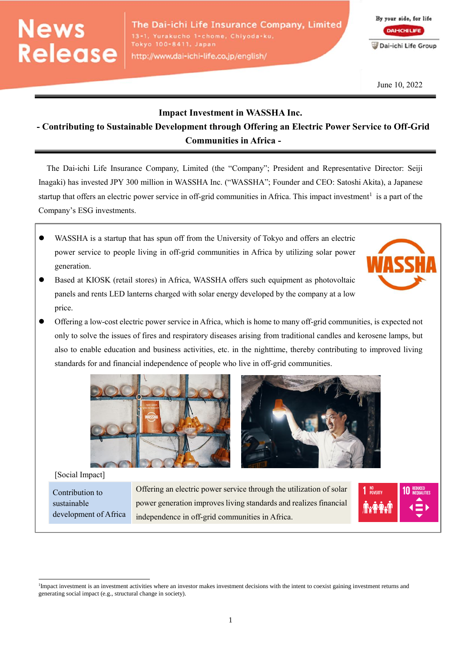# **News** Release

The Dai-ichi Life Insurance Company, Limited 13-1, Yurakucho 1-chome, Chiyoda-ku, Tokyo 100-8411, Japan http://www.dai-ichi-life.co.jp/english/

By your side, for life **DAHCHILIFE** Dai-ichi Life Group

June 10, 2022

### **Impact Investment in WASSHA Inc.**

## **- Contributing to Sustainable Development through Offering an Electric Power Service to Off-Grid Communities in Africa -**

The Dai-ichi Life Insurance Company, Limited (the "Company"; President and Representative Director: Seiji Inagaki) has invested JPY 300 million in WASSHA Inc. ("WASSHA"; Founder and CEO: Satoshi Akita), a Japanese startup that offers an electric power service in off-grid communities in Africa. This impact investment<sup>1</sup> is a part of the Company's ESG investments.

- WASSHA is a startup that has spun off from the University of Tokyo and offers an electric power service to people living in off-grid communities in Africa by utilizing solar power generation.
- Based at KIOSK (retail stores) in Africa, WASSHA offers such equipment as photovoltaic panels and rents LED lanterns charged with solar energy developed by the company at a low price.
- Offering a low-cost electric power service in Africa, which is home to many off-grid communities, is expected not only to solve the issues of fires and respiratory diseases arising from traditional candles and kerosene lamps, but also to enable education and business activities, etc. in the nighttime, thereby contributing to improved living standards for and financial independence of people who live in off-grid communities.



#### [Social Impact]

 $\overline{a}$ 

Contribution to sustainable development of Africa Offering an electric power service through the utilization of solar power generation improves living standards and realizes financial independence in off-grid communities in Africa.



1



<sup>&</sup>lt;sup>1</sup>Impact investment is an investment activities where an investor makes investment decisions with the intent to coexist gaining investment returns and generating social impact (e.g., structural change in society).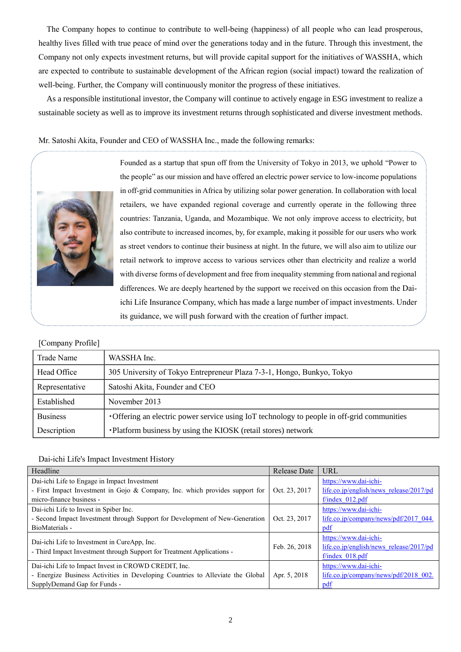The Company hopes to continue to contribute to well-being (happiness) of all people who can lead prosperous, healthy lives filled with true peace of mind over the generations today and in the future. Through this investment, the Company not only expects investment returns, but will provide capital support for the initiatives of WASSHA, which are expected to contribute to sustainable development of the African region (social impact) toward the realization of well-being. Further, the Company will continuously monitor the progress of these initiatives.

As a responsible institutional investor, the Company will continue to actively engage in ESG investment to realize a sustainable society as well as to improve its investment returns through sophisticated and diverse investment methods.

Mr. Satoshi Akita, Founder and CEO of WASSHA Inc., made the following remarks:



Founded as a startup that spun off from the University of Tokyo in 2013, we uphold "Power to the people" as our mission and have offered an electric power service to low-income populations in off-grid communities in Africa by utilizing solar power generation. In collaboration with local retailers, we have expanded regional coverage and currently operate in the following three countries: Tanzania, Uganda, and Mozambique. We not only improve access to electricity, but also contribute to increased incomes, by, for example, making it possible for our users who work as street vendors to continue their business at night. In the future, we will also aim to utilize our retail network to improve access to various services other than electricity and realize a world with diverse forms of development and free from inequality stemming from national and regional differences. We are deeply heartened by the support we received on this occasion from the Daiichi Life Insurance Company, which has made a large number of impact investments. Under its guidance, we will push forward with the creation of further impact.

| Trade Name      | WASSHA Inc.                                                                                 |  |  |
|-----------------|---------------------------------------------------------------------------------------------|--|--|
| Head Office     | 305 University of Tokyo Entrepreneur Plaza 7-3-1, Hongo, Bunkyo, Tokyo                      |  |  |
| Representative  | Satoshi Akita, Founder and CEO                                                              |  |  |
| Established     | November 2013                                                                               |  |  |
| <b>Business</b> | • Offering an electric power service using IoT technology to people in off-grid communities |  |  |
| Description     | •Platform business by using the KIOSK (retail stores) network                               |  |  |

#### [Company Profile]

#### Dai-ichi Life's Impact Investment History

| Headline                                                                                                               | <b>Release Date</b> | <b>URL</b>                                                                            |
|------------------------------------------------------------------------------------------------------------------------|---------------------|---------------------------------------------------------------------------------------|
| Dai-ichi Life to Engage in Impact Investment                                                                           |                     | https://www.dai-ichi-                                                                 |
| - First Impact Investment in Gojo & Company, Inc. which provides support for                                           | Oct. 23, 2017       | life.co.jp/english/news release/2017/pd                                               |
| micro-finance business -                                                                                               |                     | $f/index$ 012.pdf                                                                     |
| Dai-ichi Life to Invest in Spiber Inc.                                                                                 | Oct. 23, 2017       | https://www.dai-ichi-                                                                 |
| - Second Impact Investment through Support for Development of New-Generation                                           |                     | life.co.jp/company/news/pdf/2017 044.                                                 |
| BioMaterials -                                                                                                         |                     | pdf                                                                                   |
| Dai-ichi Life to Investment in CureApp, Inc.<br>- Third Impact Investment through Support for Treatment Applications - | Feb. 26, 2018       | https://www.dai-ichi-<br>life.co.jp/english/news release/2017/pd<br>$f/index$ 018.pdf |
| Dai-ichi Life to Impact Invest in CROWD CREDIT, Inc.                                                                   | Apr. 5, 2018        | https://www.dai-ichi-                                                                 |
| - Energize Business Activities in Developing Countries to Alleviate the Global                                         |                     | life.co.jp/company/news/pdf/2018 002.                                                 |
| SupplyDemand Gap for Funds -                                                                                           |                     | pdf                                                                                   |